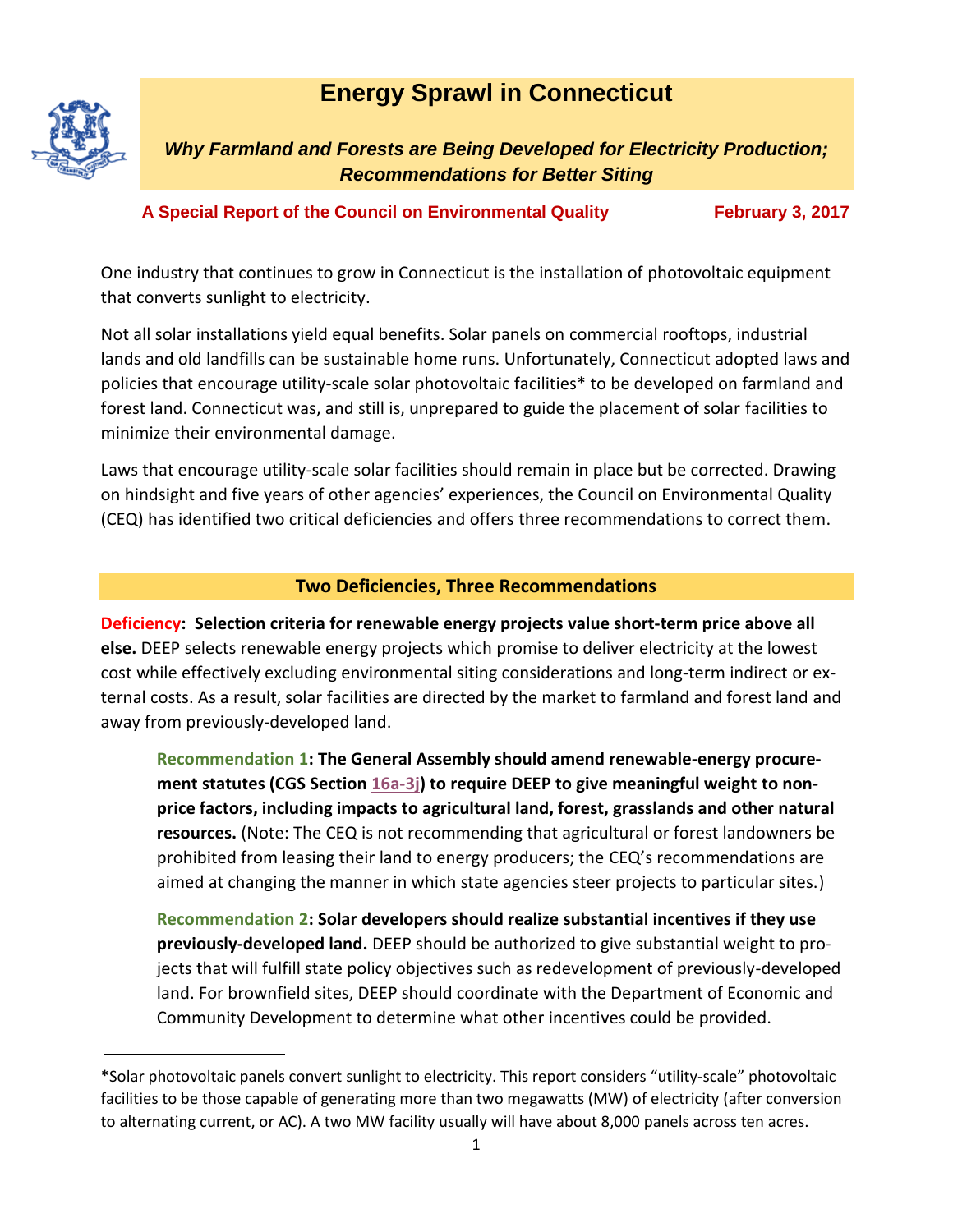# **Energy Sprawl in Connecticut**



*Why Farmland and Forests are Being Developed for Electricity Production; Recommendations for Better Siting*

# **A Special Report of the Council on Environmental Quality February 3, 2017**

One industry that continues to grow in Connecticut is the installation of photovoltaic equipment that converts sunlight to electricity.

Not all solar installations yield equal benefits. Solar panels on commercial rooftops, industrial lands and old landfills can be sustainable home runs. Unfortunately, Connecticut adopted laws and policies that encourage utility-scale solar photovoltaic facilities\* to be developed on farmland and forest land. Connecticut was, and still is, unprepared to guide the placement of solar facilities to minimize their environmental damage.

Laws that encourage utility-scale solar facilities should remain in place but be corrected. Drawing on hindsight and five years of other agencies' experiences, the Council on Environmental Quality (CEQ) has identified two critical deficiencies and offers three recommendations to correct them.

# **Two Deficiencies, Three Recommendations**

**Deficiency: Selection criteria for renewable energy projects value short-term price above all else.** DEEP selects renewable energy projects which promise to deliver electricity at the lowest cost while effectively excluding environmental siting considerations and long-term indirect or external costs. As a result, solar facilities are directed by the market to farmland and forest land and away from previously-developed land.

**Recommendation 1: The General Assembly should amend renewable-energy procurement statutes (CGS Section [16a-3j\)](https://www.cga.ct.gov/2016/sup/chap_295.htm) to require DEEP to give meaningful weight to nonprice factors, including impacts to agricultural land, forest, grasslands and other natural resources.** (Note: The CEQ is not recommending that agricultural or forest landowners be prohibited from leasing their land to energy producers; the CEQ's recommendations are aimed at changing the manner in which state agencies steer projects to particular sites.)

**Recommendation 2: Solar developers should realize substantial incentives if they use previously-developed land.** DEEP should be authorized to give substantial weight to projects that will fulfill state policy objectives such as redevelopment of previously-developed land. For brownfield sites, DEEP should coordinate with the Department of Economic and Community Development to determine what other incentives could be provided.

<sup>\*</sup>Solar photovoltaic panels convert sunlight to electricity. This report considers "utility-scale" photovoltaic facilities to be those capable of generating more than two megawatts (MW) of electricity (after conversion to alternating current, or AC). A two MW facility usually will have about 8,000 panels across ten acres.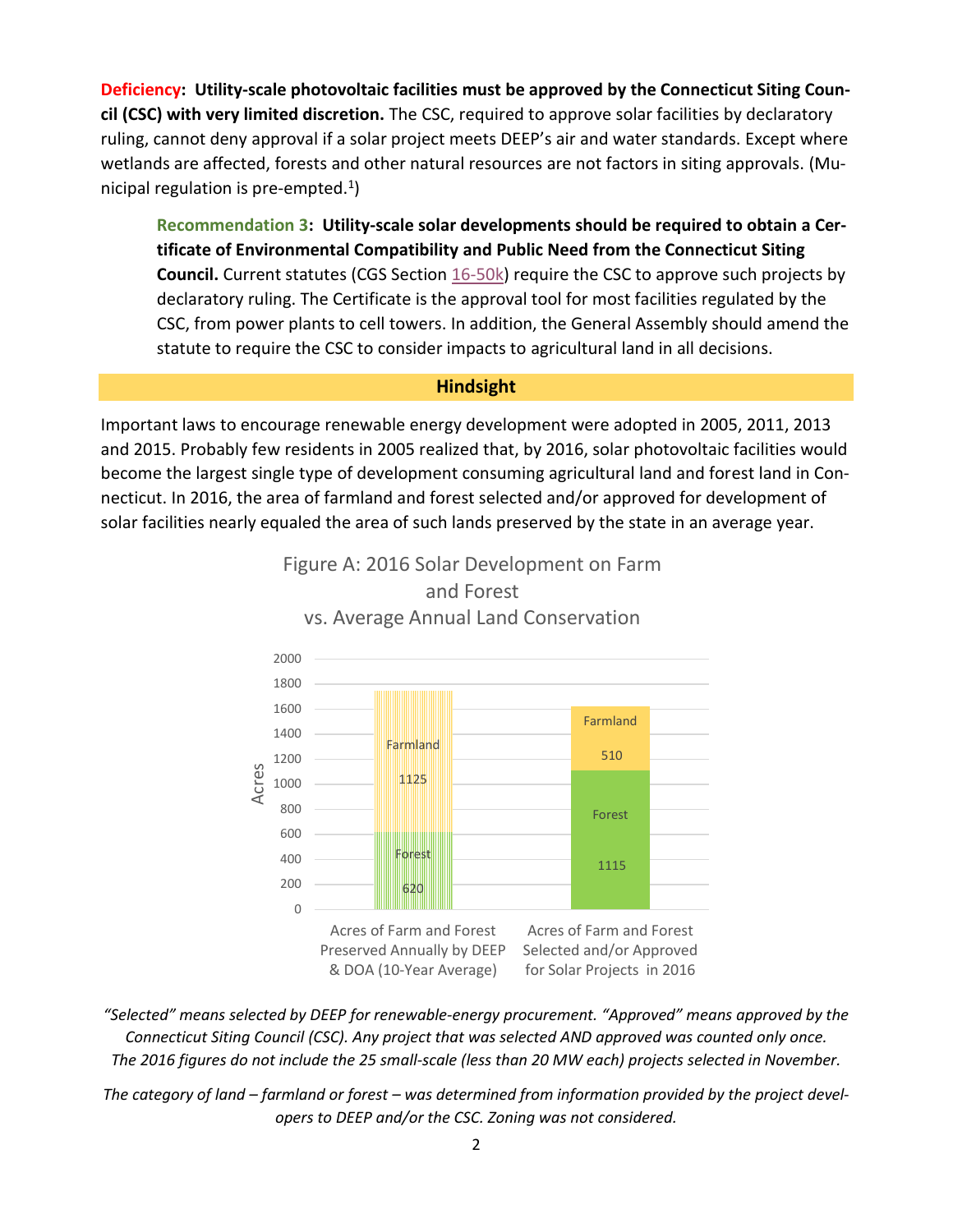**Deficiency: Utility-scale photovoltaic facilities must be approved by the Connecticut Siting Council (CSC) with very limited discretion.** The CSC, required to approve solar facilities by declaratory ruling, cannot deny approval if a solar project meets DEEP's air and water standards. Except where wetlands are affected, forests and other natural resources are not factors in siting approvals. (Municipal regulation is pre-empted. $1$ )

**Recommendation 3: Utility-scale solar developments should be required to obtain a Certificate of Environmental Compatibility and Public Need from the Connecticut Siting Council.** Current statutes (CGS Section [16-50k\)](https://www.cga.ct.gov/current/pub/chap_277a.htm#sec_16-50k) require the CSC to approve such projects by declaratory ruling. The Certificate is the approval tool for most facilities regulated by the CSC, from power plants to cell towers. In addition, the General Assembly should amend the statute to require the CSC to consider impacts to agricultural land in all decisions.

#### **Hindsight**

Important laws to encourage renewable energy development were adopted in 2005, 2011, 2013 and 2015. Probably few residents in 2005 realized that, by 2016, solar photovoltaic facilities would become the largest single type of development consuming agricultural land and forest land in Connecticut. In 2016, the area of farmland and forest selected and/or approved for development of solar facilities nearly equaled the area of such lands preserved by the state in an average year.



and Forest vs. Average Annual Land Conservation

Figure A: 2016 Solar Development on Farm

*"Selected" means selected by DEEP for renewable-energy procurement. "Approved" means approved by the Connecticut Siting Council (CSC). Any project that was selected AND approved was counted only once. The 2016 figures do not include the 25 small-scale (less than 20 MW each) projects selected in November.*

The category of land – farmland or forest – was determined from information provided by the project devel*opers to DEEP and/or the CSC. Zoning was not considered.*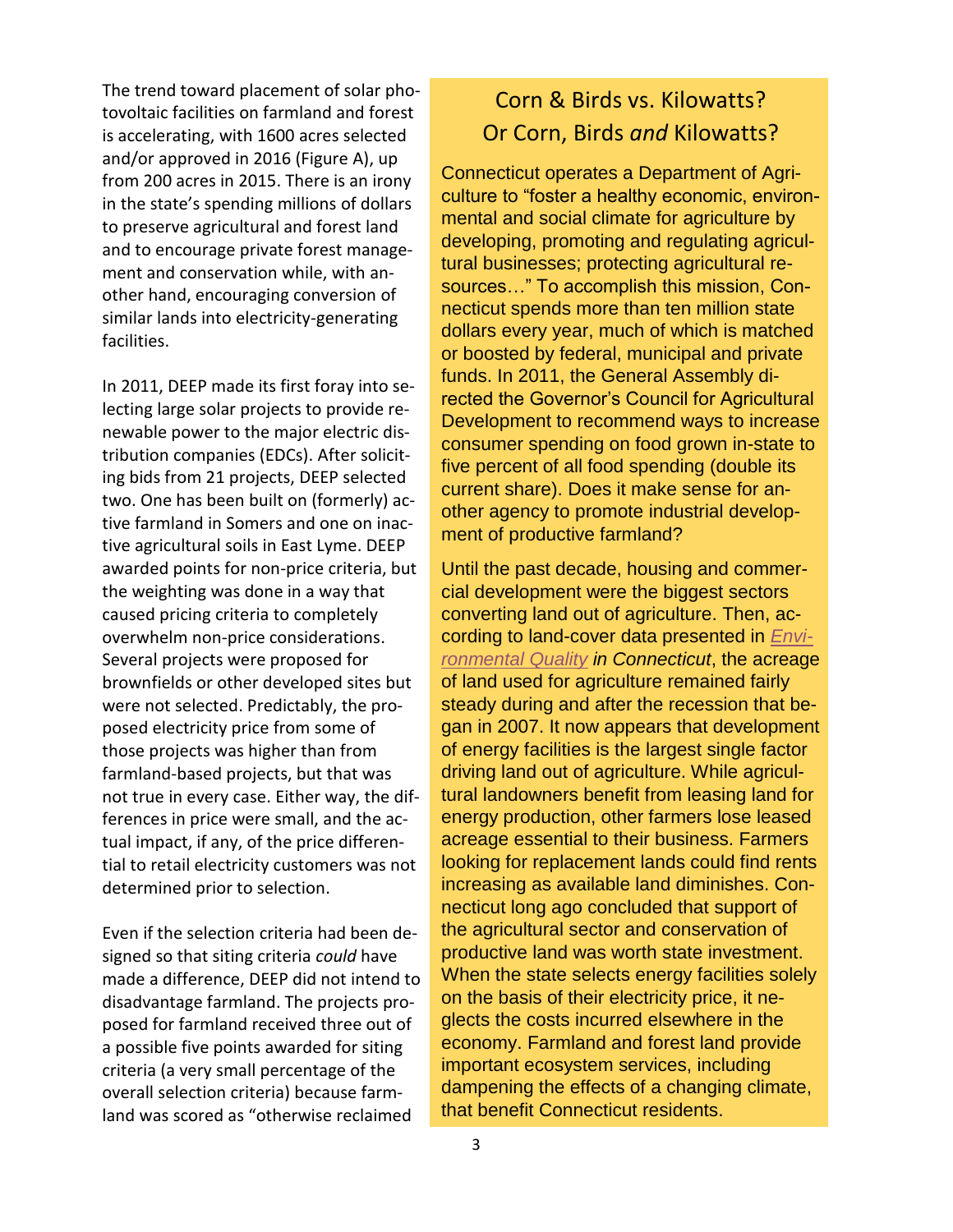The trend toward placement of solar photovoltaic facilities on farmland and forest is accelerating, with 1600 acres selected and/or approved in 2016 (Figure A), up from 200 acres in 2015. There is an irony in the state's spending millions of dollars to preserve agricultural and forest land and to encourage private forest management and conservation while, with another hand, encouraging conversion of similar lands into electricity-generating facilities.

In 2011, DEEP made its first foray into selecting large solar projects to provide renewable power to the major electric distribution companies (EDCs). After soliciting bids from 21 projects, DEEP selected two. One has been built on (formerly) active farmland in Somers and one on inactive agricultural soils in East Lyme. DEEP awarded points for non-price criteria, but the weighting was done in a way that caused pricing criteria to completely overwhelm non-price considerations. Several projects were proposed for brownfields or other developed sites but were not selected. Predictably, the proposed electricity price from some of those projects was higher than from farmland-based projects, but that was not true in every case. Either way, the differences in price were small, and the actual impact, if any, of the price differential to retail electricity customers was not determined prior to selection.

Even if the selection criteria had been designed so that siting criteria *could* have made a difference, DEEP did not intend to disadvantage farmland. The projects proposed for farmland received three out of a possible five points awarded for siting criteria (a very small percentage of the overall selection criteria) because farmland was scored as "otherwise reclaimed

# Corn & Birds vs. Kilowatts? Or Corn, Birds *and* Kilowatts?

Connecticut operates a Department of Agriculture to "foster a healthy economic, environmental and social climate for agriculture by developing, promoting and regulating agricultural businesses; protecting agricultural resources…" To accomplish this mission, Connecticut spends more than ten million state dollars every year, much of which is matched or boosted by federal, municipal and private funds. In 2011, the General Assembly directed the Governor's Council for Agricultural Development to recommend ways to increase consumer spending on food grown in-state to five percent of all food spending (double its current share). Does it make sense for another agency to promote industrial development of productive farmland?

Until the past decade, housing and commercial development were the biggest sectors converting land out of agriculture. Then, according to land-cover data presented in *[Envi](http://www.ct.gov/ceq/cwp/view.asp?a=4772&q=572764)[ronmental Quality](http://www.ct.gov/ceq/cwp/view.asp?a=4772&q=572764) in Connecticut*, the acreage of land used for agriculture remained fairly steady during and after the recession that began in 2007. It now appears that development of energy facilities is the largest single factor driving land out of agriculture. While agricultural landowners benefit from leasing land for energy production, other farmers lose leased acreage essential to their business. Farmers looking for replacement lands could find rents increasing as available land diminishes. Connecticut long ago concluded that support of the agricultural sector and conservation of productive land was worth state investment. When the state selects energy facilities solely on the basis of their electricity price, it neglects the costs incurred elsewhere in the economy. Farmland and forest land provide important ecosystem services, including dampening the effects of a changing climate, that benefit Connecticut residents.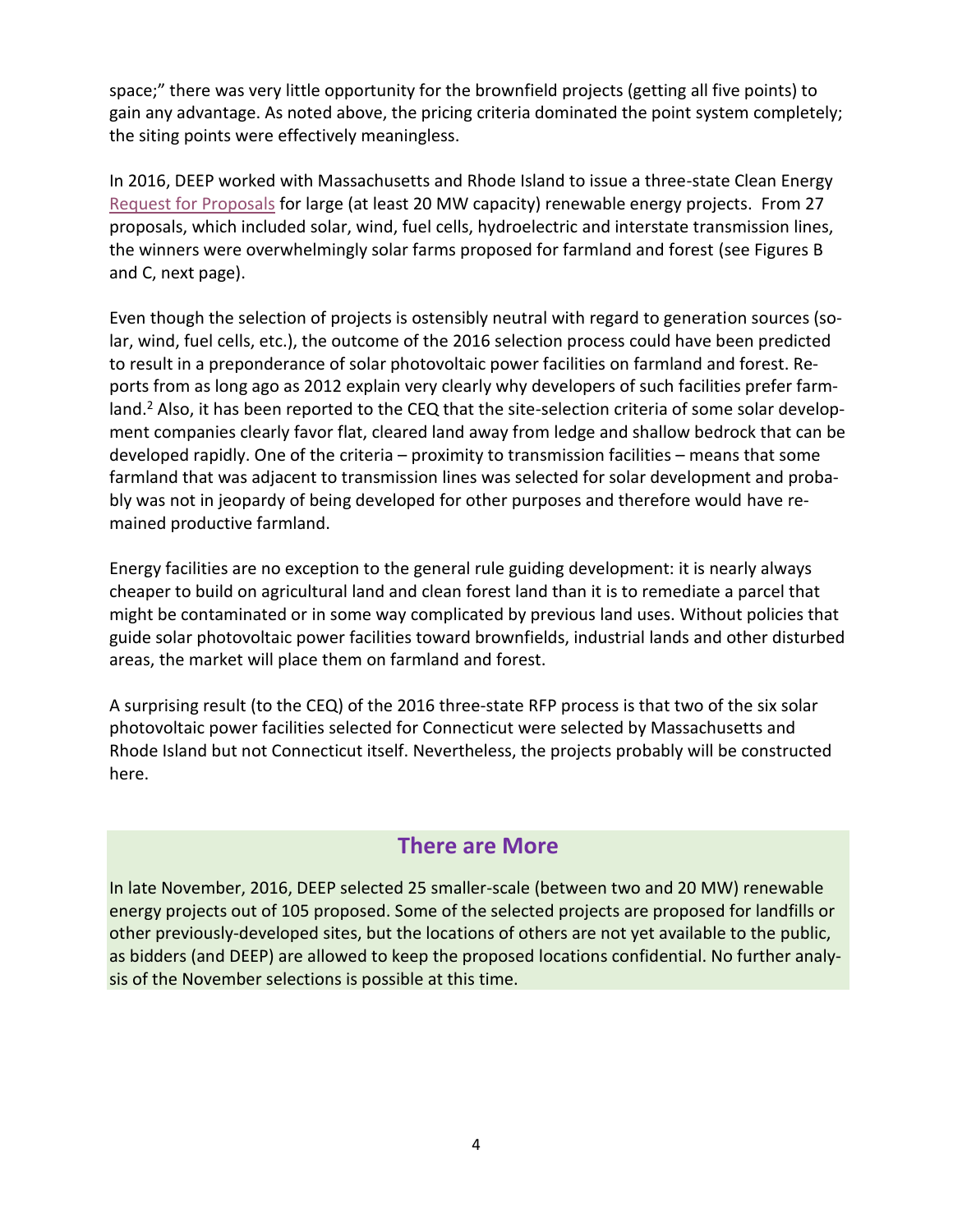space;" there was very little opportunity for the brownfield projects (getting all five points) to gain any advantage. As noted above, the pricing criteria dominated the point system completely; the siting points were effectively meaningless.

In 2016, DEEP worked with Massachusetts and Rhode Island to issue a three-state Clean Energy [Request for Proposals](https://cleanenergyrfp.com/) for large (at least 20 MW capacity) renewable energy projects. From 27 proposals, which included solar, wind, fuel cells, hydroelectric and interstate transmission lines, the winners were overwhelmingly solar farms proposed for farmland and forest (see Figures B and C, next page).

Even though the selection of projects is ostensibly neutral with regard to generation sources (solar, wind, fuel cells, etc.), the outcome of the 2016 selection process could have been predicted to result in a preponderance of solar photovoltaic power facilities on farmland and forest. Reports from as long ago as 2012 explain very clearly why developers of such facilities prefer farmland.<sup>2</sup> Also, it has been reported to the CEQ that the site-selection criteria of some solar development companies clearly favor flat, cleared land away from ledge and shallow bedrock that can be developed rapidly. One of the criteria – proximity to transmission facilities – means that some farmland that was adjacent to transmission lines was selected for solar development and probably was not in jeopardy of being developed for other purposes and therefore would have remained productive farmland.

Energy facilities are no exception to the general rule guiding development: it is nearly always cheaper to build on agricultural land and clean forest land than it is to remediate a parcel that might be contaminated or in some way complicated by previous land uses. Without policies that guide solar photovoltaic power facilities toward brownfields, industrial lands and other disturbed areas, the market will place them on farmland and forest.

A surprising result (to the CEQ) of the 2016 three-state RFP process is that two of the six solar photovoltaic power facilities selected for Connecticut were selected by Massachusetts and Rhode Island but not Connecticut itself. Nevertheless, the projects probably will be constructed here.

# **There are More**

In late November, 2016, DEEP selected 25 smaller-scale (between two and 20 MW) renewable energy projects out of 105 proposed. Some of the selected projects are proposed for landfills or other previously-developed sites, but the locations of others are not yet available to the public, as bidders (and DEEP) are allowed to keep the proposed locations confidential. No further analysis of the November selections is possible at this time.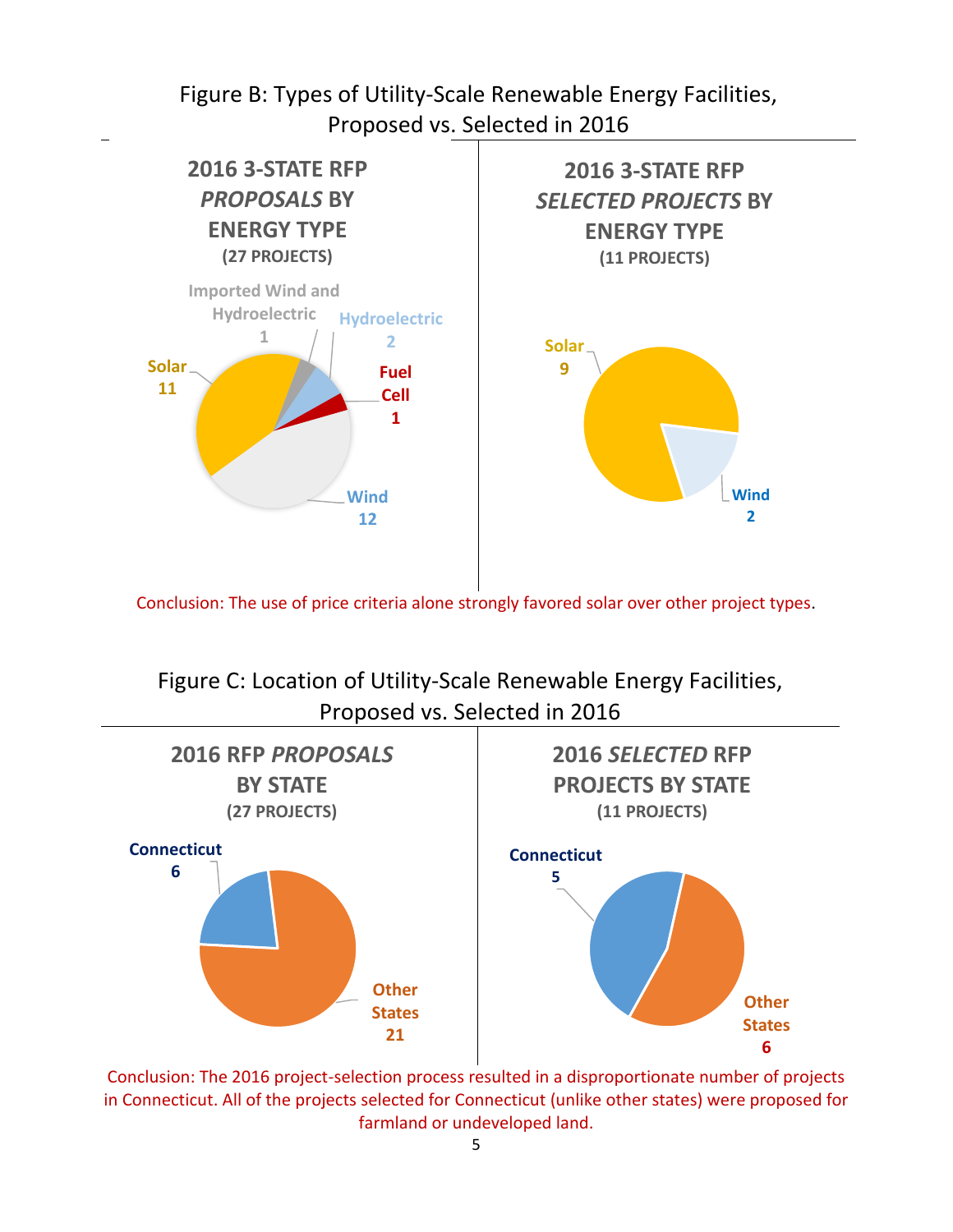Figure B: Types of Utility-Scale Renewable Energy Facilities, Proposed vs. Selected in 2016



Conclusion: The use of price criteria alone strongly favored solar over other project types.

Figure C: Location of Utility-Scale Renewable Energy Facilities, Proposed vs. Selected in 2016



Conclusion: The 2016 project-selection process resulted in a disproportionate number of projects in Connecticut. All of the projects selected for Connecticut (unlike other states) were proposed for farmland or undeveloped land.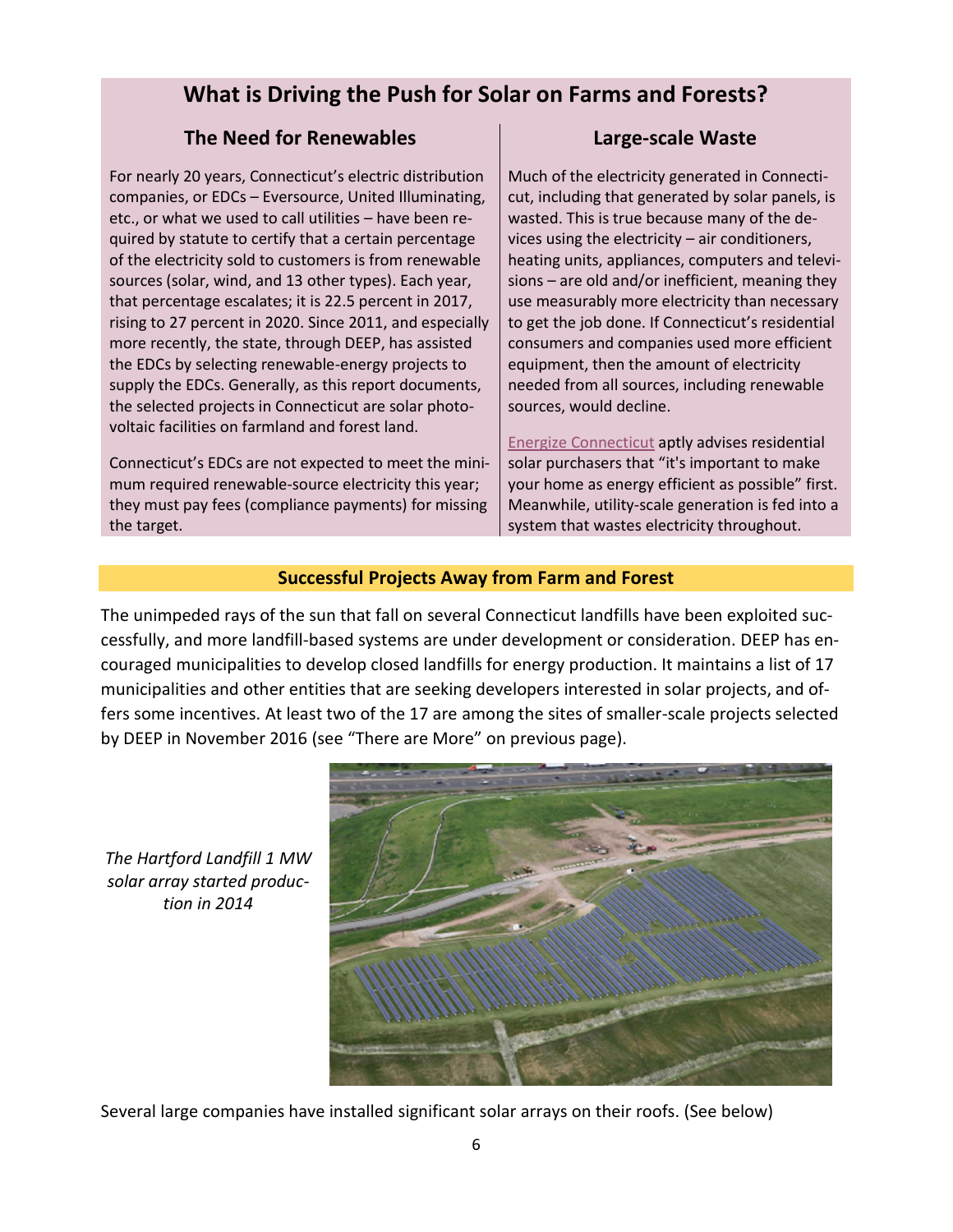# **What is Driving the Push for Solar on Farms and Forests?**

# **The Need for Renewables**

For nearly 20 years, Connecticut's electric distribution companies, or EDCs – Eversource, United Illuminating, etc., or what we used to call utilities – have been required by statute to certify that a certain percentage of the electricity sold to customers is from renewable sources (solar, wind, and 13 other types). Each year, that percentage escalates; it is 22.5 percent in 2017, rising to 27 percent in 2020. Since 2011, and especially more recently, the state, through DEEP, has assisted the EDCs by selecting renewable-energy projects to supply the EDCs. Generally, as this report documents, the selected projects in Connecticut are solar photovoltaic facilities on farmland and forest land.

Connecticut's EDCs are not expected to meet the minimum required renewable-source electricity this year; they must pay fees (compliance payments) for missing the target.

# **Large-scale Waste**

Much of the electricity generated in Connecticut, including that generated by solar panels, is wasted. This is true because many of the devices using the electricity – air conditioners, heating units, appliances, computers and televisions – are old and/or inefficient, meaning they use measurably more electricity than necessary to get the job done. If Connecticut's residential consumers and companies used more efficient equipment, then the amount of electricity needed from all sources, including renewable sources, would decline.

[Energize Connecticut](http://www.energizect.com/your-home/solutions-list/residential-solar-investment-program) aptly advises residential solar purchasers that "it's important to make your home as energy efficient as possible" first. Meanwhile, utility-scale generation is fed into a system that wastes electricity throughout.

# **Successful Projects Away from Farm and Forest**

The unimpeded rays of the sun that fall on several Connecticut landfills have been exploited successfully, and more landfill-based systems are under development or consideration. DEEP has encouraged municipalities to develop closed landfills for energy production. It maintains a list of 17 municipalities and other entities that are seeking developers interested in solar projects, and offers some incentives. At least two of the 17 are among the sites of smaller-scale projects selected by DEEP in November 2016 (see "There are More" on previous page).

*The Hartford Landfill 1 MW solar array started production in 2014*



Several large companies have installed significant solar arrays on their roofs. (See below)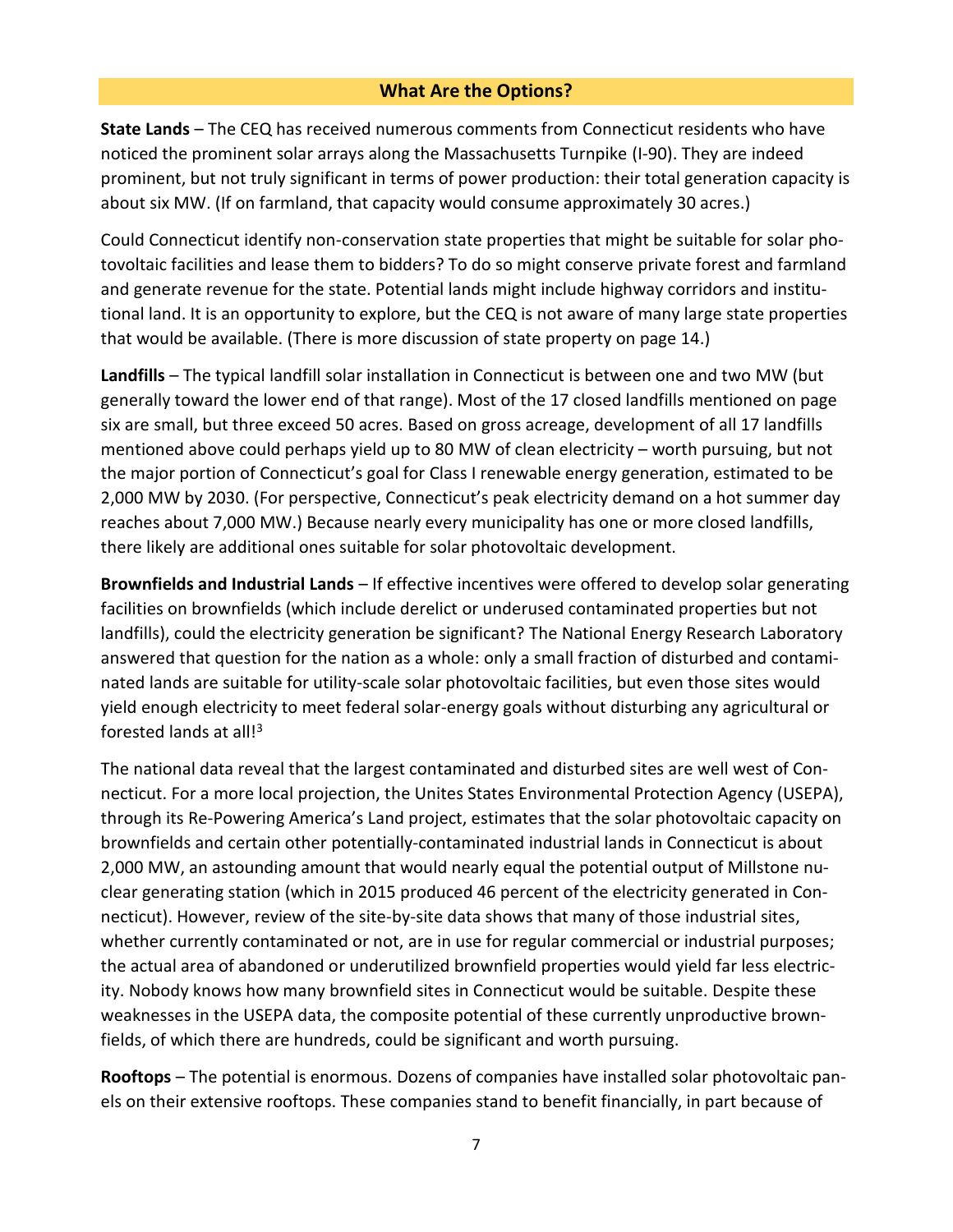### **What Are the Options?**

**State Lands** – The CEQ has received numerous comments from Connecticut residents who have noticed the prominent solar arrays along the Massachusetts Turnpike (I-90). They are indeed prominent, but not truly significant in terms of power production: their total generation capacity is about six MW. (If on farmland, that capacity would consume approximately 30 acres.)

Could Connecticut identify non-conservation state properties that might be suitable for solar photovoltaic facilities and lease them to bidders? To do so might conserve private forest and farmland and generate revenue for the state. Potential lands might include highway corridors and institutional land. It is an opportunity to explore, but the CEQ is not aware of many large state properties that would be available. (There is more discussion of state property on page 14.)

**Landfills** – The typical landfill solar installation in Connecticut is between one and two MW (but generally toward the lower end of that range). Most of the 17 closed landfills mentioned on page six are small, but three exceed 50 acres. Based on gross acreage, development of all 17 landfills mentioned above could perhaps yield up to 80 MW of clean electricity – worth pursuing, but not the major portion of Connecticut's goal for Class I renewable energy generation, estimated to be 2,000 MW by 2030. (For perspective, Connecticut's peak electricity demand on a hot summer day reaches about 7,000 MW.) Because nearly every municipality has one or more closed landfills, there likely are additional ones suitable for solar photovoltaic development.

**Brownfields and Industrial Lands** – If effective incentives were offered to develop solar generating facilities on brownfields (which include derelict or underused contaminated properties but not landfills), could the electricity generation be significant? The National Energy Research Laboratory answered that question for the nation as a whole: only a small fraction of disturbed and contaminated lands are suitable for utility-scale solar photovoltaic facilities, but even those sites would yield enough electricity to meet federal solar-energy goals without disturbing any agricultural or forested lands at all!<sup>3</sup>

The national data reveal that the largest contaminated and disturbed sites are well west of Connecticut. For a more local projection, the Unites States Environmental Protection Agency (USEPA), through its Re-Powering America's Land project, estimates that the solar photovoltaic capacity on brownfields and certain other potentially-contaminated industrial lands in Connecticut is about 2,000 MW, an astounding amount that would nearly equal the potential output of Millstone nuclear generating station (which in 2015 produced 46 percent of the electricity generated in Connecticut). However, review of the site-by-site data shows that many of those industrial sites, whether currently contaminated or not, are in use for regular commercial or industrial purposes; the actual area of abandoned or underutilized brownfield properties would yield far less electricity. Nobody knows how many brownfield sites in Connecticut would be suitable. Despite these weaknesses in the USEPA data, the composite potential of these currently unproductive brownfields, of which there are hundreds, could be significant and worth pursuing.

**Rooftops** – The potential is enormous. Dozens of companies have installed solar photovoltaic panels on their extensive rooftops. These companies stand to benefit financially, in part because of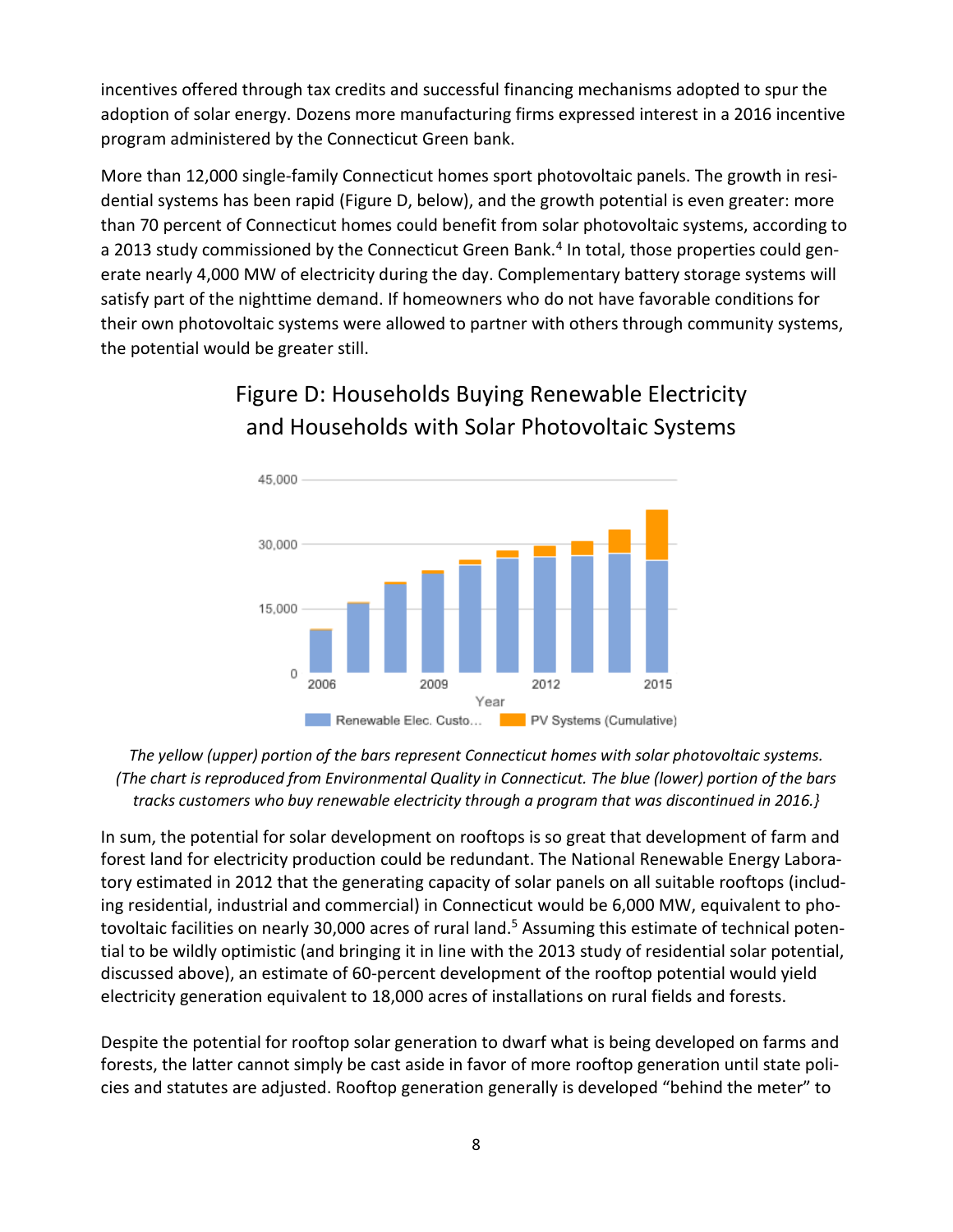incentives offered through tax credits and successful financing mechanisms adopted to spur the adoption of solar energy. Dozens more manufacturing firms expressed interest in a 2016 incentive program administered by the Connecticut Green bank.

More than 12,000 single-family Connecticut homes sport photovoltaic panels. The growth in residential systems has been rapid (Figure D, below), and the growth potential is even greater: more than 70 percent of Connecticut homes could benefit from solar photovoltaic systems, according to a 2013 study commissioned by the Connecticut Green Bank.<sup>4</sup> In total, those properties could generate nearly 4,000 MW of electricity during the day. Complementary battery storage systems will satisfy part of the nighttime demand. If homeowners who do not have favorable conditions for their own photovoltaic systems were allowed to partner with others through community systems, the potential would be greater still.



# Figure D: Households Buying Renewable Electricity and Households with Solar Photovoltaic Systems

*The yellow (upper) portion of the bars represent Connecticut homes with solar photovoltaic systems. (The chart is reproduced from Environmental Quality in Connecticut. The blue (lower) portion of the bars tracks customers who buy renewable electricity through a program that was discontinued in 2016.}*

In sum, the potential for solar development on rooftops is so great that development of farm and forest land for electricity production could be redundant. The National Renewable Energy Laboratory estimated in 2012 that the generating capacity of solar panels on all suitable rooftops (including residential, industrial and commercial) in Connecticut would be 6,000 MW, equivalent to photovoltaic facilities on nearly 30,000 acres of rural land.<sup>5</sup> Assuming this estimate of technical potential to be wildly optimistic (and bringing it in line with the 2013 study of residential solar potential, discussed above), an estimate of 60-percent development of the rooftop potential would yield electricity generation equivalent to 18,000 acres of installations on rural fields and forests.

Despite the potential for rooftop solar generation to dwarf what is being developed on farms and forests, the latter cannot simply be cast aside in favor of more rooftop generation until state policies and statutes are adjusted. Rooftop generation generally is developed "behind the meter" to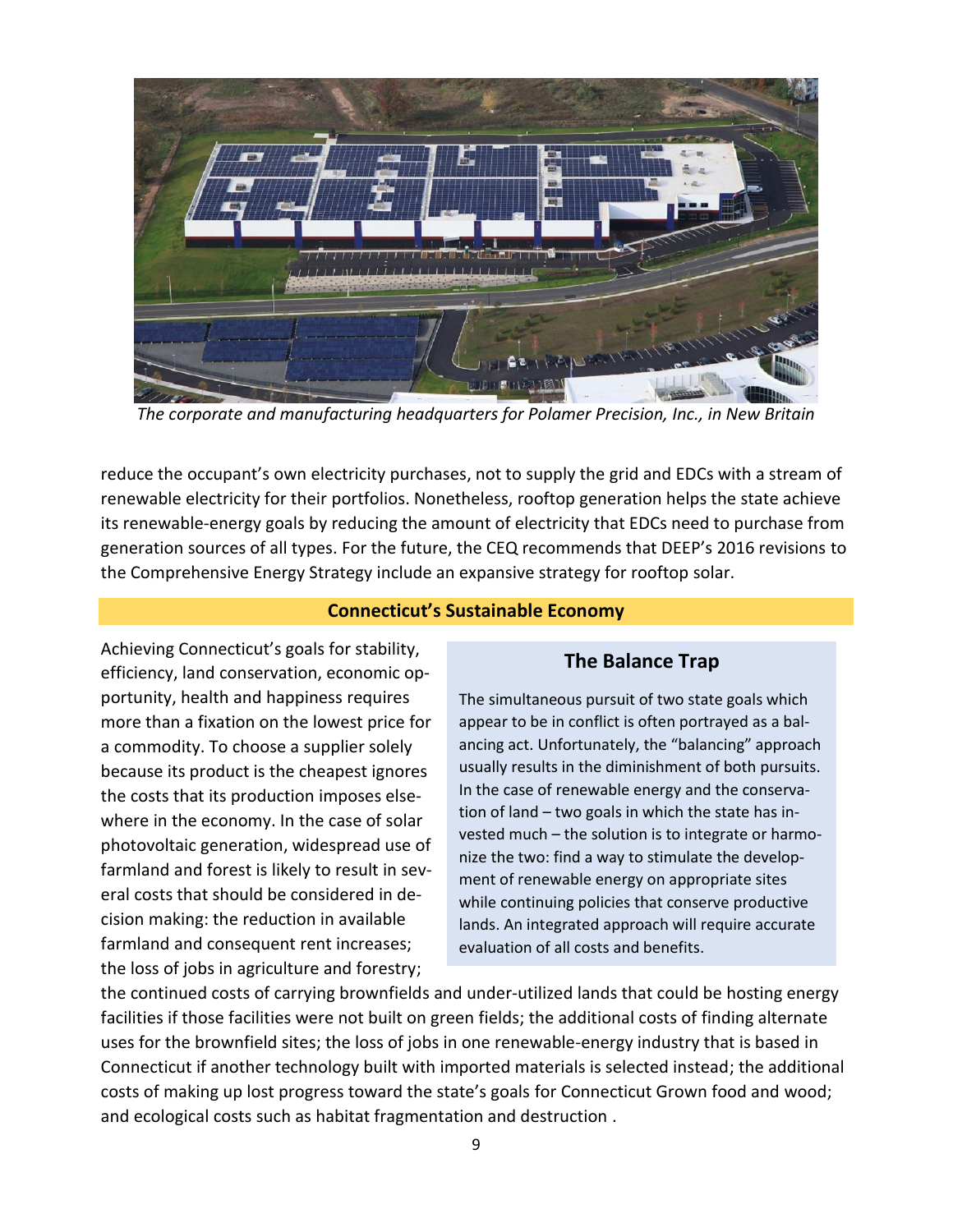

*The corporate and manufacturing headquarters for Polamer Precision, Inc., in New Britain*

reduce the occupant's own electricity purchases, not to supply the grid and EDCs with a stream of renewable electricity for their portfolios. Nonetheless, rooftop generation helps the state achieve its renewable-energy goals by reducing the amount of electricity that EDCs need to purchase from generation sources of all types. For the future, the CEQ recommends that DEEP's 2016 revisions to the Comprehensive Energy Strategy include an expansive strategy for rooftop solar.

#### **Connecticut's Sustainable Economy**

Achieving Connecticut's goals for stability, efficiency, land conservation, economic opportunity, health and happiness requires more than a fixation on the lowest price for a commodity. To choose a supplier solely because its product is the cheapest ignores the costs that its production imposes elsewhere in the economy. In the case of solar photovoltaic generation, widespread use of farmland and forest is likely to result in several costs that should be considered in decision making: the reduction in available farmland and consequent rent increases; the loss of jobs in agriculture and forestry;

### **The Balance Trap**

The simultaneous pursuit of two state goals which appear to be in conflict is often portrayed as a balancing act. Unfortunately, the "balancing" approach usually results in the diminishment of both pursuits. In the case of renewable energy and the conservation of land – two goals in which the state has invested much – the solution is to integrate or harmonize the two: find a way to stimulate the development of renewable energy on appropriate sites while continuing policies that conserve productive lands. An integrated approach will require accurate evaluation of all costs and benefits.

the continued costs of carrying brownfields and under-utilized lands that could be hosting energy facilities if those facilities were not built on green fields; the additional costs of finding alternate uses for the brownfield sites; the loss of jobs in one renewable-energy industry that is based in Connecticut if another technology built with imported materials is selected instead; the additional costs of making up lost progress toward the state's goals for Connecticut Grown food and wood; and ecological costs such as habitat fragmentation and destruction .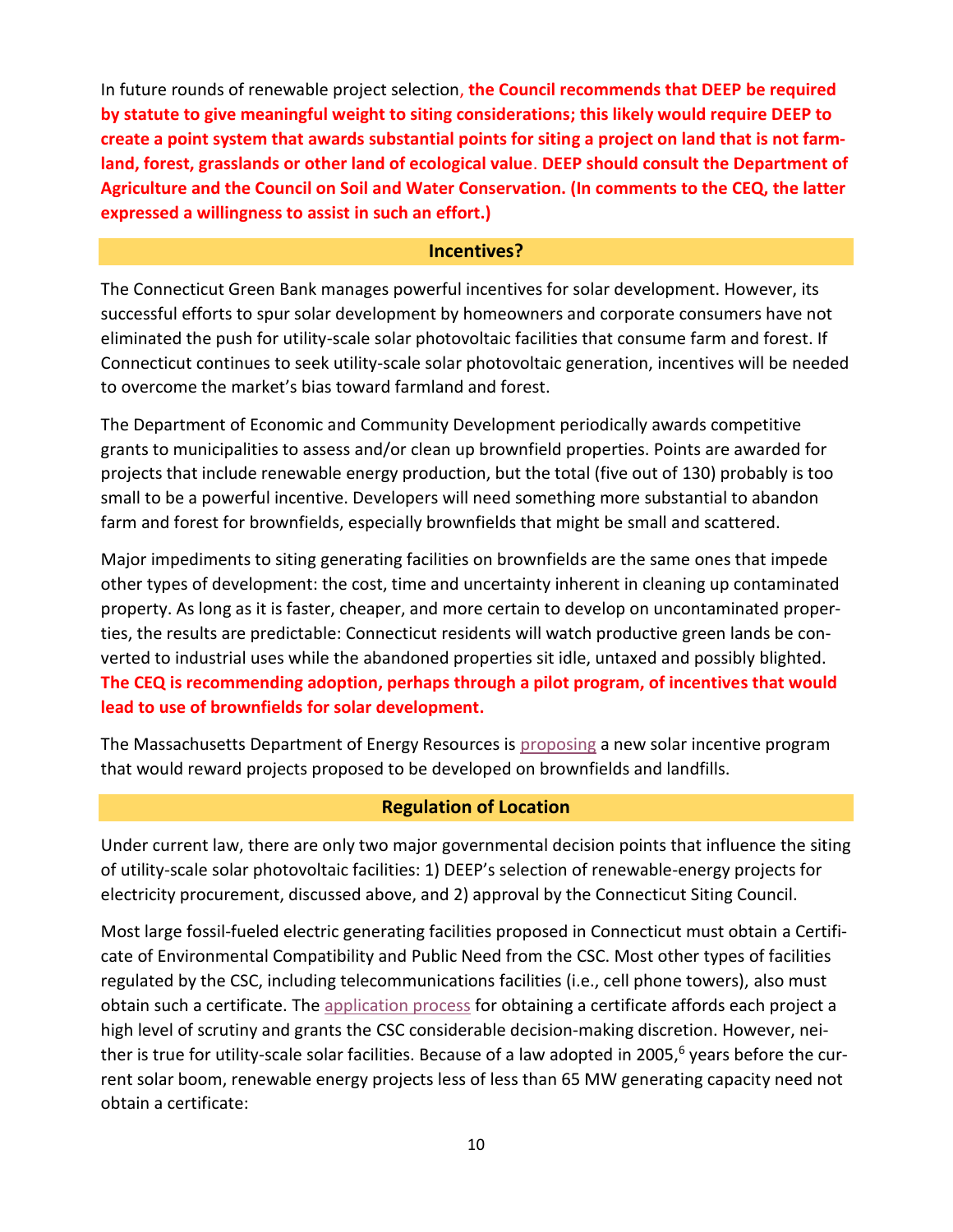In future rounds of renewable project selection, **the Council recommends that DEEP be required by statute to give meaningful weight to siting considerations; this likely would require DEEP to create a point system that awards substantial points for siting a project on land that is not farmland, forest, grasslands or other land of ecological value**. **DEEP should consult the Department of Agriculture and the Council on Soil and Water Conservation. (In comments to the CEQ, the latter expressed a willingness to assist in such an effort.)** 

#### **Incentives?**

The Connecticut Green Bank manages powerful incentives for solar development. However, its successful efforts to spur solar development by homeowners and corporate consumers have not eliminated the push for utility-scale solar photovoltaic facilities that consume farm and forest. If Connecticut continues to seek utility-scale solar photovoltaic generation, incentives will be needed to overcome the market's bias toward farmland and forest.

The Department of Economic and Community Development periodically awards competitive grants to municipalities to assess and/or clean up brownfield properties. Points are awarded for projects that include renewable energy production, but the total (five out of 130) probably is too small to be a powerful incentive. Developers will need something more substantial to abandon farm and forest for brownfields, especially brownfields that might be small and scattered.

Major impediments to siting generating facilities on brownfields are the same ones that impede other types of development: the cost, time and uncertainty inherent in cleaning up contaminated property. As long as it is faster, cheaper, and more certain to develop on uncontaminated properties, the results are predictable: Connecticut residents will watch productive green lands be converted to industrial uses while the abandoned properties sit idle, untaxed and possibly blighted. **The CEQ is recommending adoption, perhaps through a pilot program, of incentives that would lead to use of brownfields for solar development.**

The Massachusetts Department of Energy Resources is [proposing](http://www.mass.gov/eea/energy-utilities-clean-tech/renewable-energy/rps-aps/development-of-the-next-solar-incentive.html) a new solar incentive program that would reward projects proposed to be developed on brownfields and landfills.

# **Regulation of Location**

Under current law, there are only two major governmental decision points that influence the siting of utility-scale solar photovoltaic facilities: 1) DEEP's selection of renewable-energy projects for electricity procurement, discussed above, and 2) approval by the Connecticut Siting Council.

Most large fossil-fueled electric generating facilities proposed in Connecticut must obtain a Certificate of Environmental Compatibility and Public Need from the CSC. Most other types of facilities regulated by the CSC, including telecommunications facilities (i.e., cell phone towers), also must obtain such a certificate. The [application process](http://www.ct.gov/csc/lib/csc/guides/2016guides/citizens_guide_to_siting_council_procedures_elec_gen.pdf) for obtaining a certificate affords each project a high level of scrutiny and grants the CSC considerable decision-making discretion. However, neither is true for utility-scale solar facilities. Because of a law adopted in 2005,<sup>6</sup> years before the current solar boom, renewable energy projects less of less than 65 MW generating capacity need not obtain a certificate: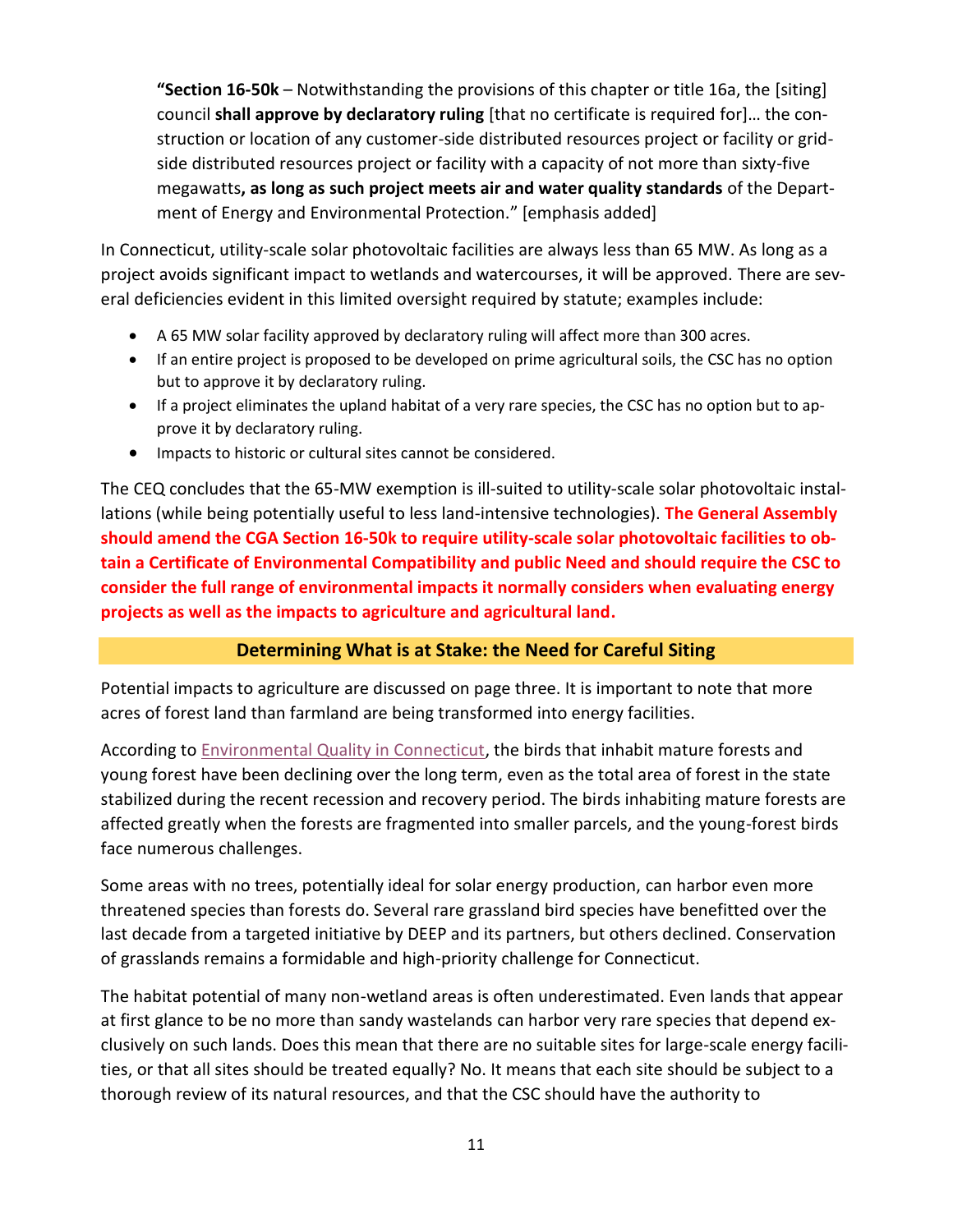**"Section 16-50k** – Notwithstanding the provisions of this chapter or title 16a, the [siting] council **shall approve by declaratory ruling** [that no certificate is required for]… the construction or location of any customer-side distributed resources project or facility or gridside distributed resources project or facility with a capacity of not more than sixty-five megawatts**, as long as such project meets air and water quality standards** of the Department of Energy and Environmental Protection." [emphasis added]

In Connecticut, utility-scale solar photovoltaic facilities are always less than 65 MW. As long as a project avoids significant impact to wetlands and watercourses, it will be approved. There are several deficiencies evident in this limited oversight required by statute; examples include:

- A 65 MW solar facility approved by declaratory ruling will affect more than 300 acres.
- If an entire project is proposed to be developed on prime agricultural soils, the CSC has no option but to approve it by declaratory ruling.
- If a project eliminates the upland habitat of a very rare species, the CSC has no option but to approve it by declaratory ruling.
- Impacts to historic or cultural sites cannot be considered.

The CEQ concludes that the 65-MW exemption is ill-suited to utility-scale solar photovoltaic installations (while being potentially useful to less land-intensive technologies). **The General Assembly should amend the CGA Section 16-50k to require utility-scale solar photovoltaic facilities to obtain a Certificate of Environmental Compatibility and public Need and should require the CSC to consider the full range of environmental impacts it normally considers when evaluating energy projects as well as the impacts to agriculture and agricultural land.**

# **Determining What is at Stake: the Need for Careful Siting**

Potential impacts to agriculture are discussed on page three. It is important to note that more acres of forest land than farmland are being transformed into energy facilities.

According to [Environmental Quality in Connecticut,](http://www.ct.gov/ceq/cwp/view.asp?a=4772&q=572614) the birds that inhabit mature forests and young forest have been declining over the long term, even as the total area of forest in the state stabilized during the recent recession and recovery period. The birds inhabiting mature forests are affected greatly when the forests are fragmented into smaller parcels, and the young-forest birds face numerous challenges.

Some areas with no trees, potentially ideal for solar energy production, can harbor even more threatened species than forests do. Several rare grassland bird species have benefitted over the last decade from a targeted initiative by DEEP and its partners, but others declined. Conservation of grasslands remains a formidable and high-priority challenge for Connecticut.

The habitat potential of many non-wetland areas is often underestimated. Even lands that appear at first glance to be no more than sandy wastelands can harbor very rare species that depend exclusively on such lands. Does this mean that there are no suitable sites for large-scale energy facilities, or that all sites should be treated equally? No. It means that each site should be subject to a thorough review of its natural resources, and that the CSC should have the authority to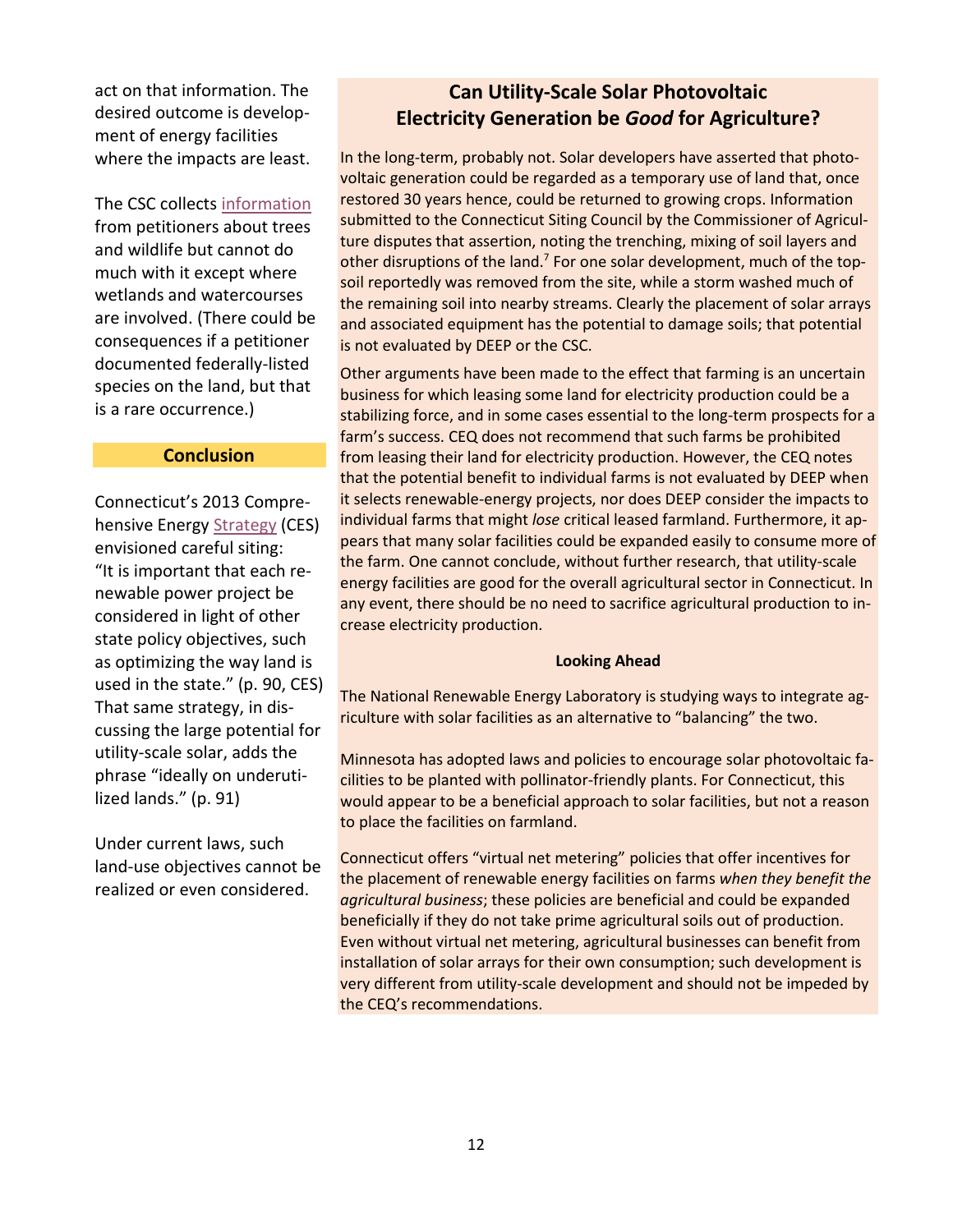act on that information. The desired outcome is development of energy facilities where the impacts are least.

The CSC collects [information](http://www.ct.gov/csc/lib/csc/guides/2016guides/renewable_energy_facility_petition_guide_081616.pdf) from petitioners about trees and wildlife but cannot do much with it except where wetlands and watercourses are involved. (There could be consequences if a petitioner documented federally-listed species on the land, but that is a rare occurrence.)

#### **Conclusion**

Connecticut's 2013 Comprehensive Energy [Strategy](http://www.ct.gov/deep/cwp/view.asp?a=4120&q=500752&pp=3) (CES) envisioned careful siting: "It is important that each renewable power project be considered in light of other state policy objectives, such as optimizing the way land is used in the state." (p. 90, CES) That same strategy, in discussing the large potential for utility-scale solar, adds the phrase "ideally on underutilized lands." (p. 91)

Under current laws, such land-use objectives cannot be realized or even considered.

# **Can Utility-Scale Solar Photovoltaic Electricity Generation be** *Good* **for Agriculture?**

In the long-term, probably not. Solar developers have asserted that photovoltaic generation could be regarded as a temporary use of land that, once restored 30 years hence, could be returned to growing crops. Information submitted to the Connecticut Siting Council by the Commissioner of Agriculture disputes that assertion, noting the trenching, mixing of soil layers and other disruptions of the land.<sup>7</sup> For one solar development, much of the topsoil reportedly was removed from the site, while a storm washed much of the remaining soil into nearby streams. Clearly the placement of solar arrays and associated equipment has the potential to damage soils; that potential is not evaluated by DEEP or the CSC.

Other arguments have been made to the effect that farming is an uncertain business for which leasing some land for electricity production could be a stabilizing force, and in some cases essential to the long-term prospects for a farm's success. CEQ does not recommend that such farms be prohibited from leasing their land for electricity production. However, the CEQ notes that the potential benefit to individual farms is not evaluated by DEEP when it selects renewable-energy projects, nor does DEEP consider the impacts to individual farms that might *lose* critical leased farmland. Furthermore, it appears that many solar facilities could be expanded easily to consume more of the farm. One cannot conclude, without further research, that utility-scale energy facilities are good for the overall agricultural sector in Connecticut. In any event, there should be no need to sacrifice agricultural production to increase electricity production.

#### **Looking Ahead**

The National Renewable Energy Laboratory is studying ways to integrate agriculture with solar facilities as an alternative to "balancing" the two.

Minnesota has adopted laws and policies to encourage solar photovoltaic facilities to be planted with pollinator-friendly plants. For Connecticut, this would appear to be a beneficial approach to solar facilities, but not a reason to place the facilities on farmland.

Connecticut offers "virtual net metering" policies that offer incentives for the placement of renewable energy facilities on farms *when they benefit the agricultural business*; these policies are beneficial and could be expanded beneficially if they do not take prime agricultural soils out of production. Even without virtual net metering, agricultural businesses can benefit from installation of solar arrays for their own consumption; such development is very different from utility-scale development and should not be impeded by the CEQ's recommendations.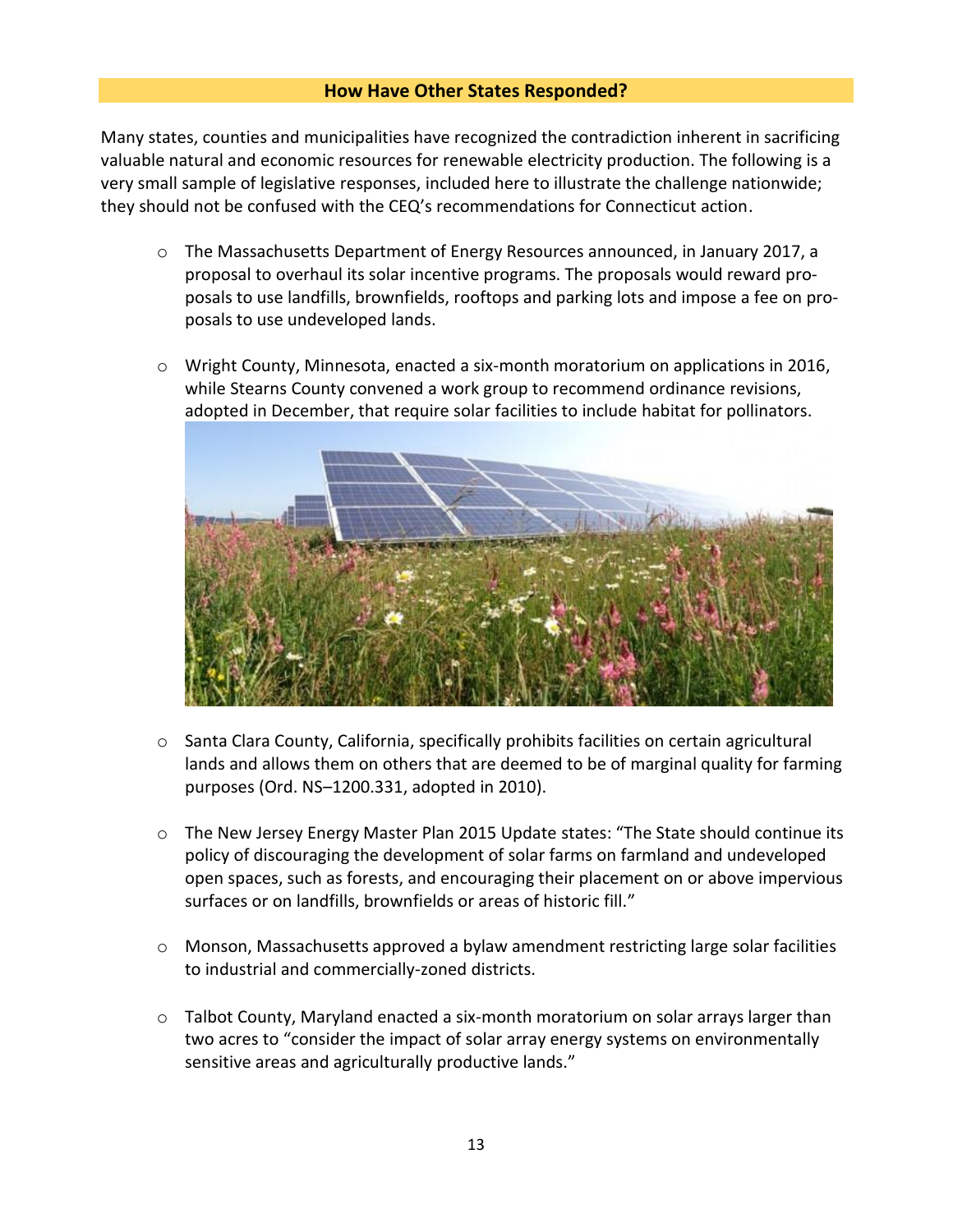#### **How Have Other States Responded?**

Many states, counties and municipalities have recognized the contradiction inherent in sacrificing valuable natural and economic resources for renewable electricity production. The following is a very small sample of legislative responses, included here to illustrate the challenge nationwide; they should not be confused with the CEQ's recommendations for Connecticut action.

- o The Massachusetts Department of Energy Resources announced, in January 2017, a proposal to overhaul its solar incentive programs. The proposals would reward proposals to use landfills, brownfields, rooftops and parking lots and impose a fee on proposals to use undeveloped lands.
- $\circ$  Wright County, Minnesota, enacted a six-month moratorium on applications in 2016, while Stearns County convened a work group to recommend ordinance revisions, adopted in December, that require solar facilities to include habitat for pollinators.



- $\circ$  Santa Clara County, California, specifically prohibits facilities on certain agricultural lands and allows them on others that are deemed to be of marginal quality for farming purposes (Ord. NS–1200.331, adopted in 2010).
- o The New Jersey Energy Master Plan 2015 Update states: "The State should continue its policy of discouraging the development of solar farms on farmland and undeveloped open spaces, such as forests, and encouraging their placement on or above impervious surfaces or on landfills, brownfields or areas of historic fill."
- o Monson, Massachusetts approved a bylaw amendment restricting large solar facilities to industrial and commercially-zoned districts.
- o Talbot County, Maryland enacted a six-month moratorium on solar arrays larger than two acres to "consider the impact of solar array energy systems on environmentally sensitive areas and agriculturally productive lands."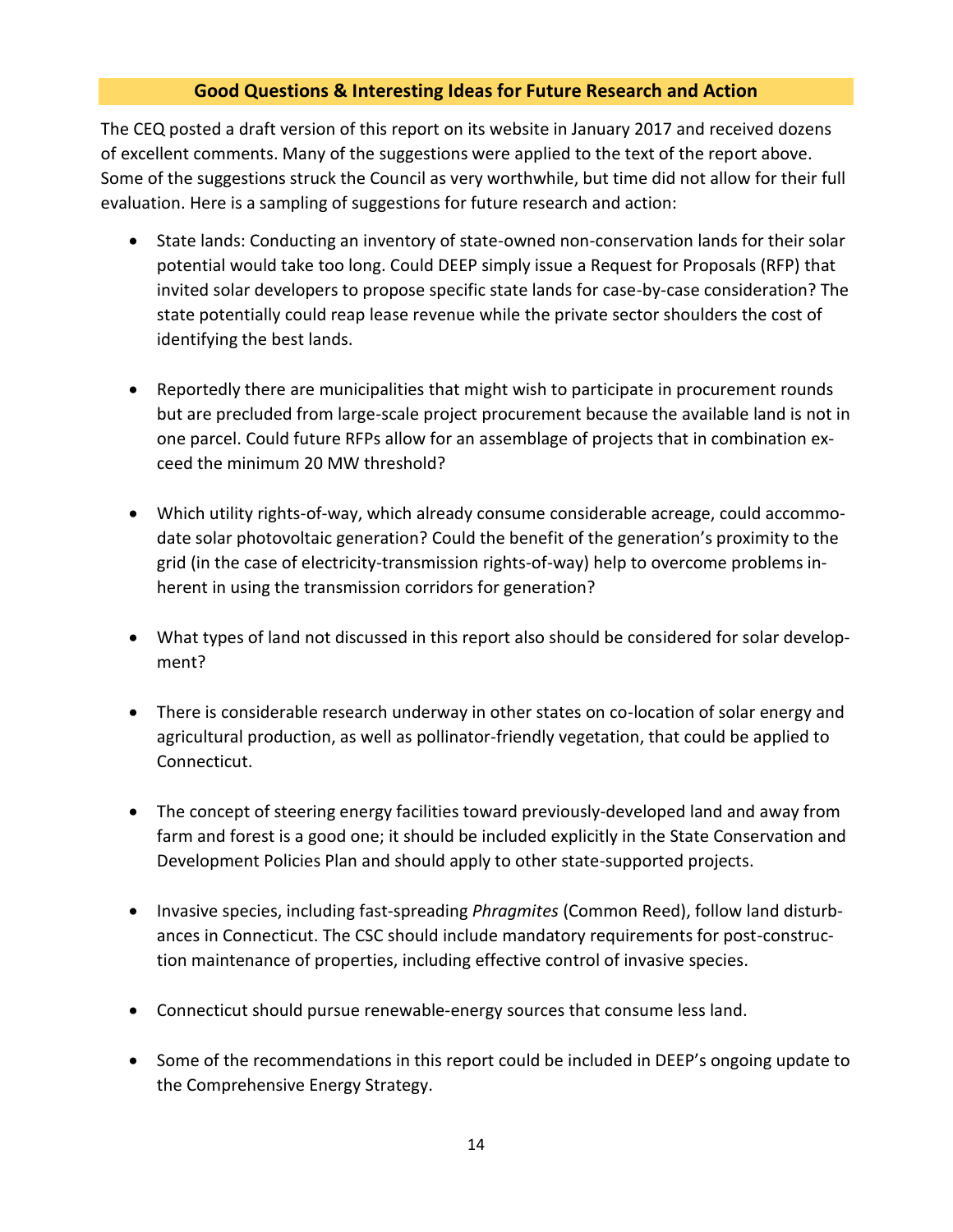# **Good Questions & Interesting Ideas for Future Research and Action**

The CEQ posted a draft version of this report on its website in January 2017 and received dozens of excellent comments. Many of the suggestions were applied to the text of the report above. Some of the suggestions struck the Council as very worthwhile, but time did not allow for their full evaluation. Here is a sampling of suggestions for future research and action:

- State lands: Conducting an inventory of state-owned non-conservation lands for their solar potential would take too long. Could DEEP simply issue a Request for Proposals (RFP) that invited solar developers to propose specific state lands for case-by-case consideration? The state potentially could reap lease revenue while the private sector shoulders the cost of identifying the best lands.
- Reportedly there are municipalities that might wish to participate in procurement rounds but are precluded from large-scale project procurement because the available land is not in one parcel. Could future RFPs allow for an assemblage of projects that in combination exceed the minimum 20 MW threshold?
- Which utility rights-of-way, which already consume considerable acreage, could accommodate solar photovoltaic generation? Could the benefit of the generation's proximity to the grid (in the case of electricity-transmission rights-of-way) help to overcome problems inherent in using the transmission corridors for generation?
- What types of land not discussed in this report also should be considered for solar development?
- There is considerable research underway in other states on co-location of solar energy and agricultural production, as well as pollinator-friendly vegetation, that could be applied to Connecticut.
- The concept of steering energy facilities toward previously-developed land and away from farm and forest is a good one; it should be included explicitly in the State Conservation and Development Policies Plan and should apply to other state-supported projects.
- Invasive species, including fast-spreading *Phragmites* (Common Reed), follow land disturbances in Connecticut. The CSC should include mandatory requirements for post-construction maintenance of properties, including effective control of invasive species.
- Connecticut should pursue renewable-energy sources that consume less land.
- Some of the recommendations in this report could be included in DEEP's ongoing update to the Comprehensive Energy Strategy.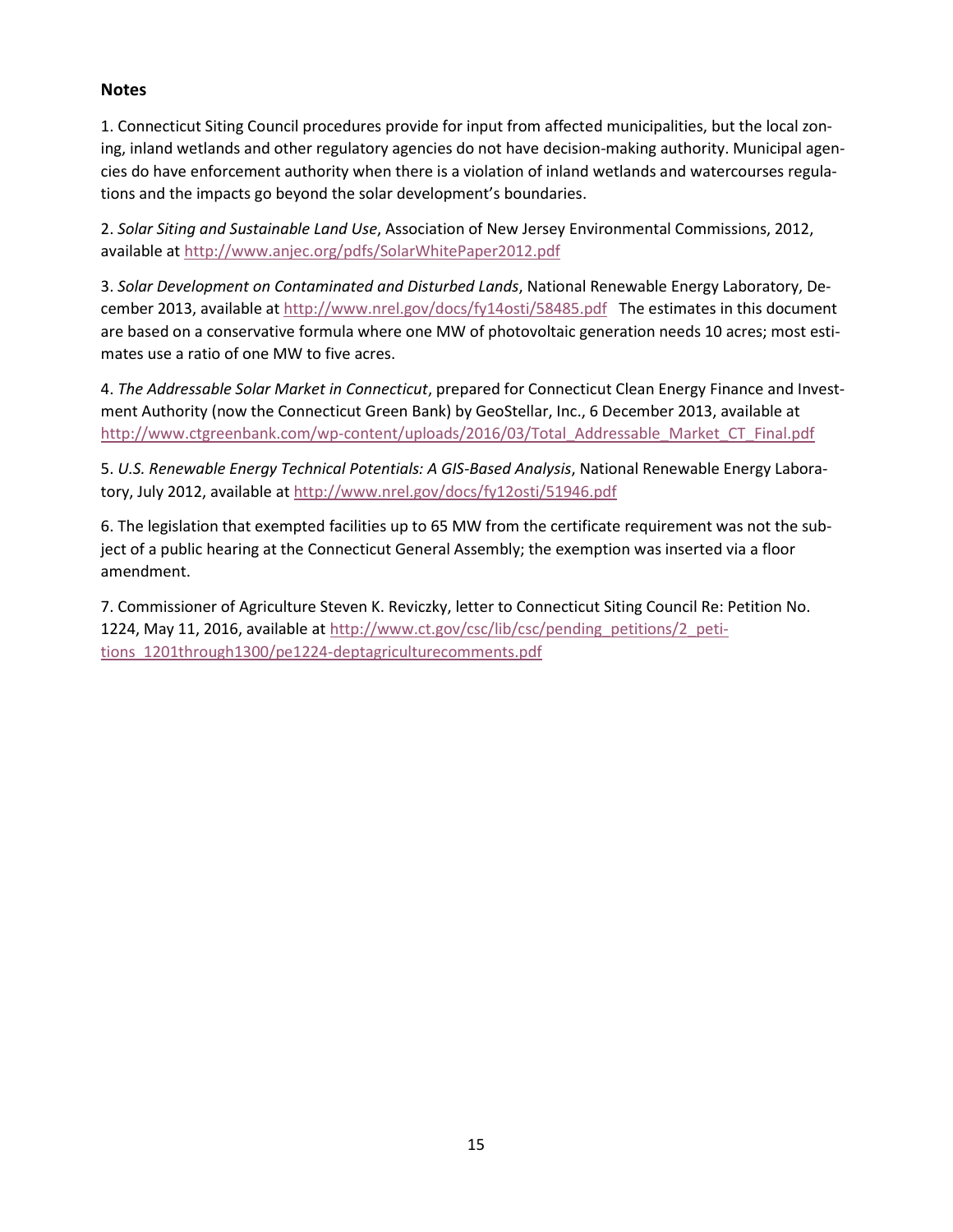### **Notes**

1. Connecticut Siting Council procedures provide for input from affected municipalities, but the local zoning, inland wetlands and other regulatory agencies do not have decision-making authority. Municipal agencies do have enforcement authority when there is a violation of inland wetlands and watercourses regulations and the impacts go beyond the solar development's boundaries.

2. *Solar Siting and Sustainable Land Use*, Association of New Jersey Environmental Commissions, 2012, available at<http://www.anjec.org/pdfs/SolarWhitePaper2012.pdf>

3. *Solar Development on Contaminated and Disturbed Lands*, National Renewable Energy Laboratory, December 2013, available at<http://www.nrel.gov/docs/fy14osti/58485.pdf>The estimates in this document are based on a conservative formula where one MW of photovoltaic generation needs 10 acres; most estimates use a ratio of one MW to five acres.

4. *The Addressable Solar Market in Connecticut*, prepared for Connecticut Clean Energy Finance and Investment Authority (now the Connecticut Green Bank) by GeoStellar, Inc., 6 December 2013, available at [http://www.ctgreenbank.com/wp-content/uploads/2016/03/Total\\_Addressable\\_Market\\_CT\\_Final.pdf](http://www.ctgreenbank.com/wp-content/uploads/2016/03/Total_Addressable_Market_CT_Final.pdf)

5. *U.S. Renewable Energy Technical Potentials: A GIS-Based Analysis*, National Renewable Energy Laboratory, July 2012, available a[t http://www.nrel.gov/docs/fy12osti/51946.pdf](http://www.nrel.gov/docs/fy12osti/51946.pdf)

6. The legislation that exempted facilities up to 65 MW from the certificate requirement was not the subject of a public hearing at the Connecticut General Assembly; the exemption was inserted via a floor amendment.

7. Commissioner of Agriculture Steven K. Reviczky, letter to Connecticut Siting Council Re: Petition No. 1224, May 11, 2016, available at [http://www.ct.gov/csc/lib/csc/pending\\_petitions/2\\_peti](http://www.ct.gov/csc/lib/csc/pending_petitions/2_petitions_1201through1300/pe1224-deptagriculturecomments.pdf)[tions\\_1201through1300/pe1224-deptagriculturecomments.pdf](http://www.ct.gov/csc/lib/csc/pending_petitions/2_petitions_1201through1300/pe1224-deptagriculturecomments.pdf)